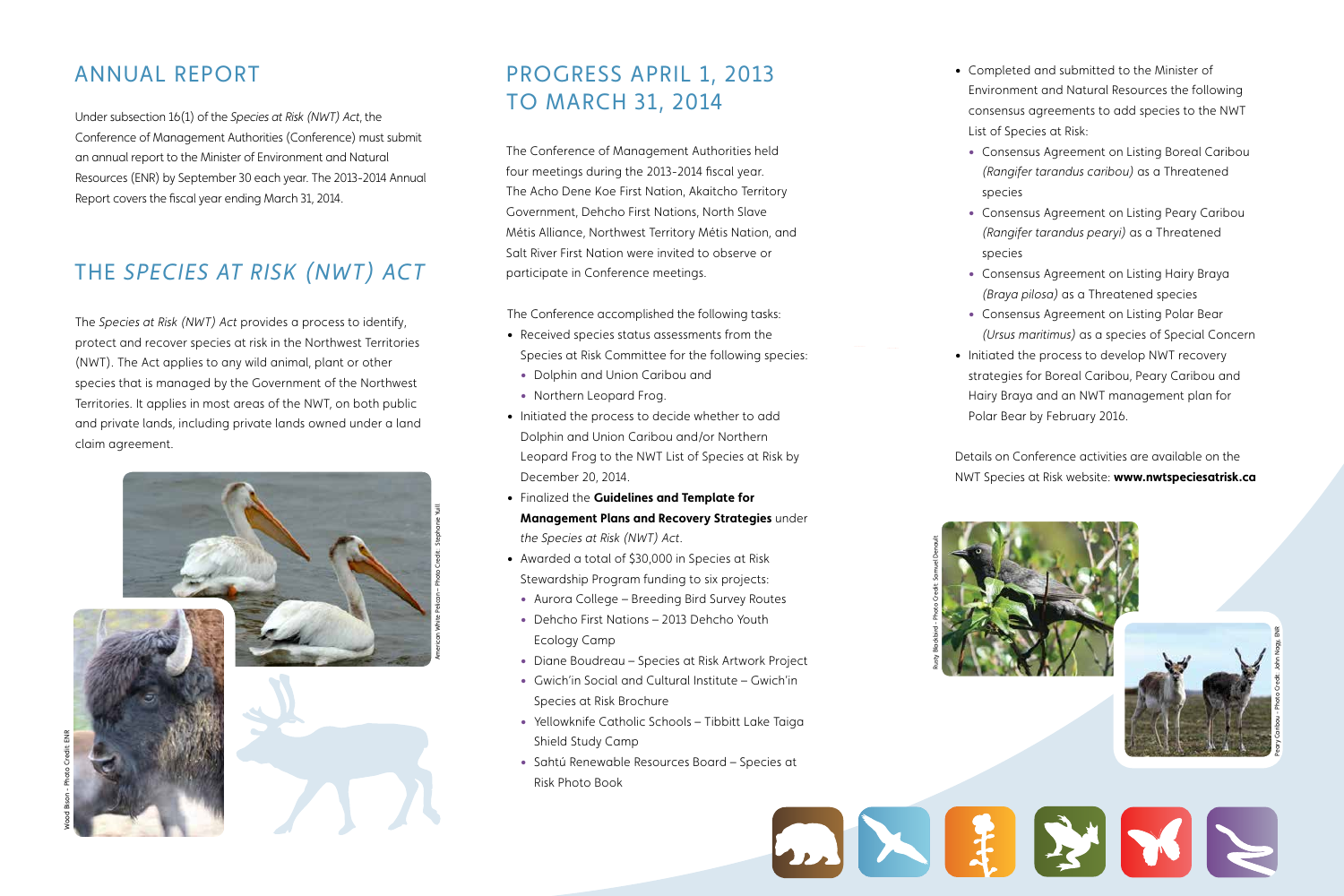# The *Species at Risk (NWT) Act*

Under subsection 16(1) of the *Species at Risk (NWT) Act*, the Conference of Management Authorities (Conference) must submit an annual report to the Minister of Environment and Natural Resources (ENR) by September 30 each year. The 2013-2014 Annual Report covers the fiscal year ending March 31, 2014.

The *Species at Risk (NWT) Act* provides a process to identify, protect and recover species at risk in the Northwest Territories (NWT). The Act applies to any wild animal, plant or other species that is managed by the Government of the Northwest Territories. It applies in most areas of the NWT, on both public and private lands, including private lands owned under a land claim agreement.

The Conference of Management Authorities held four meetings during the 2013-2014 fiscal year. The Acho Dene Koe First Nation, Akaitcho Territory Government, Dehcho First Nations, North Slave Métis Alliance, Northwest Territory Métis Nation, and Salt River First Nation were invited to observe or participate in Conference meetings.

The Conference accomplished the following tasks:

• Consensus Agreement on Listing Boreal Caribou *(Rangifer tarandus caribou)* as a Threatened

• Consensus Agreement on Listing Peary Caribou *(Rangifer tarandus pearyi)* as a Threatened

• Consensus Agreement on Listing Hairy Braya *(Braya pilosa)* as a Threatened species

• Consensus Agreement on Listing Polar Bear *(Ursus maritimus)* as a species of Special Concern • Initiated the process to develop NWT recovery strategies for Boreal Caribou, Peary Caribou and

- • Received species status assessments from the Species at Risk Committee for the following species:
	- Dolphin and Union Caribou and
	- Northern Leopard Frog.
- • Initiated the process to decide whether to add Dolphin and Union Caribou and/or Northern Leopard Frog to the NWT List of Species at Risk by December 20, 2014.
- • Finalized the **Guidelines and Template for Management Plans and Recovery Strategies** under *the Species at Risk (NWT) Act*.
- • Awarded a total of \$30,000 in Species at Risk Stewardship Program funding to six projects:
	- Aurora College Breeding Bird Survey Routes
	- Dehcho First Nations 2013 Dehcho Youth Ecology Camp
	- Diane Boudreau Species at Risk Artwork Project
	- Gwich'in Social and Cultural Institute Gwich'in Species at Risk Brochure
	- Yellowknife Catholic Schools Tibbitt Lake Taiga Shield Study Camp
	- Sahtú Renewable Resources Board Species at Risk Photo Book

• Completed and submitted to the Minister of Environment and Natural Resources the following consensus agreements to add species to the NWT List of Species at Risk:

- 
- species
- species
- 
- 
- 

Hairy Braya and an NWT management plan for Polar Bear by February 2016.

Details on Conference activities are available on the NWT Species at Risk website: **www.nwtspeciesatrisk.ca**

## Annual REPORT

Wood Bison - Photo Credit: ENR